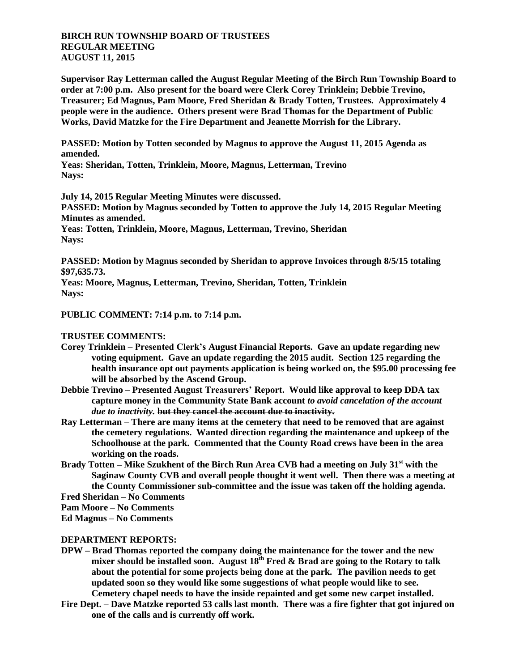## **BIRCH RUN TOWNSHIP BOARD OF TRUSTEES REGULAR MEETING AUGUST 11, 2015**

**Supervisor Ray Letterman called the August Regular Meeting of the Birch Run Township Board to order at 7:00 p.m. Also present for the board were Clerk Corey Trinklein; Debbie Trevino, Treasurer; Ed Magnus, Pam Moore, Fred Sheridan & Brady Totten, Trustees. Approximately 4 people were in the audience. Others present were Brad Thomas for the Department of Public Works, David Matzke for the Fire Department and Jeanette Morrish for the Library.**

**PASSED: Motion by Totten seconded by Magnus to approve the August 11, 2015 Agenda as amended.**

**Yeas: Sheridan, Totten, Trinklein, Moore, Magnus, Letterman, Trevino Nays:** 

**July 14, 2015 Regular Meeting Minutes were discussed.**

**PASSED: Motion by Magnus seconded by Totten to approve the July 14, 2015 Regular Meeting Minutes as amended.**

**Yeas: Totten, Trinklein, Moore, Magnus, Letterman, Trevino, Sheridan Nays:** 

**PASSED: Motion by Magnus seconded by Sheridan to approve Invoices through 8/5/15 totaling \$97,635.73.**

**Yeas: Moore, Magnus, Letterman, Trevino, Sheridan, Totten, Trinklein Nays:** 

**PUBLIC COMMENT: 7:14 p.m. to 7:14 p.m.**

**TRUSTEE COMMENTS:**

- **Corey Trinklein – Presented Clerk's August Financial Reports. Gave an update regarding new voting equipment. Gave an update regarding the 2015 audit. Section 125 regarding the health insurance opt out payments application is being worked on, the \$95.00 processing fee will be absorbed by the Ascend Group.**
- **Debbie Trevino – Presented August Treasurers' Report. Would like approval to keep DDA tax capture money in the Community State Bank account** *to avoid cancelation of the account due to inactivity.* **but they cancel the account due to inactivity.**
- **Ray Letterman – There are many items at the cemetery that need to be removed that are against the cemetery regulations. Wanted direction regarding the maintenance and upkeep of the Schoolhouse at the park. Commented that the County Road crews have been in the area working on the roads.**
- **Brady Totten – Mike Szukhent of the Birch Run Area CVB had a meeting on July 31st with the Saginaw County CVB and overall people thought it went well. Then there was a meeting at the County Commissioner sub-committee and the issue was taken off the holding agenda.**

**Fred Sheridan – No Comments**

**Pam Moore – No Comments**

**Ed Magnus – No Comments**

## **DEPARTMENT REPORTS:**

- **DPW – Brad Thomas reported the company doing the maintenance for the tower and the new mixer should be installed soon. August 18th Fred & Brad are going to the Rotary to talk about the potential for some projects being done at the park. The pavilion needs to get updated soon so they would like some suggestions of what people would like to see. Cemetery chapel needs to have the inside repainted and get some new carpet installed.**
- **Fire Dept. – Dave Matzke reported 53 calls last month. There was a fire fighter that got injured on one of the calls and is currently off work.**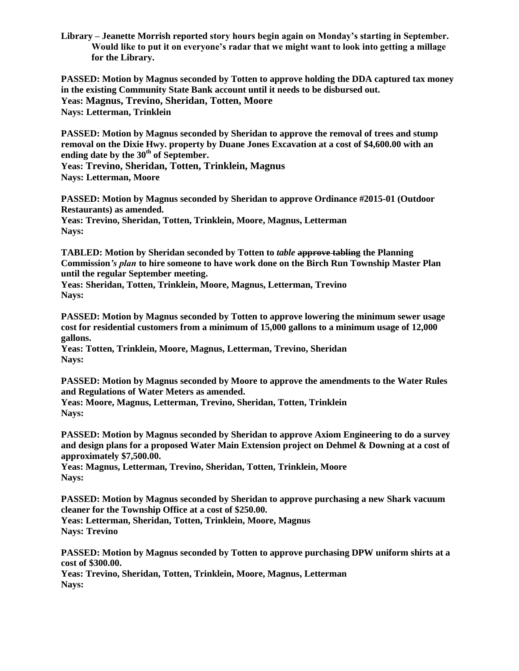**Library – Jeanette Morrish reported story hours begin again on Monday's starting in September. Would like to put it on everyone's radar that we might want to look into getting a millage for the Library.**

**PASSED: Motion by Magnus seconded by Totten to approve holding the DDA captured tax money in the existing Community State Bank account until it needs to be disbursed out. Yeas: Magnus, Trevino, Sheridan, Totten, Moore Nays: Letterman, Trinklein**

**PASSED: Motion by Magnus seconded by Sheridan to approve the removal of trees and stump removal on the Dixie Hwy. property by Duane Jones Excavation at a cost of \$4,600.00 with an ending date by the 30th of September. Yeas: Trevino, Sheridan, Totten, Trinklein, Magnus**

**Nays: Letterman, Moore**

**PASSED: Motion by Magnus seconded by Sheridan to approve Ordinance #2015-01 (Outdoor Restaurants) as amended. Yeas: Trevino, Sheridan, Totten, Trinklein, Moore, Magnus, Letterman**

**Nays:**

**TABLED: Motion by Sheridan seconded by Totten to** *table* **approve tabling the Planning Commission***'s plan* **to hire someone to have work done on the Birch Run Township Master Plan until the regular September meeting.**

**Yeas: Sheridan, Totten, Trinklein, Moore, Magnus, Letterman, Trevino Nays:**

**PASSED: Motion by Magnus seconded by Totten to approve lowering the minimum sewer usage cost for residential customers from a minimum of 15,000 gallons to a minimum usage of 12,000 gallons.**

**Yeas: Totten, Trinklein, Moore, Magnus, Letterman, Trevino, Sheridan Nays:**

**PASSED: Motion by Magnus seconded by Moore to approve the amendments to the Water Rules and Regulations of Water Meters as amended.**

**Yeas: Moore, Magnus, Letterman, Trevino, Sheridan, Totten, Trinklein Nays:**

**PASSED: Motion by Magnus seconded by Sheridan to approve Axiom Engineering to do a survey and design plans for a proposed Water Main Extension project on Dehmel & Downing at a cost of approximately \$7,500.00.**

**Yeas: Magnus, Letterman, Trevino, Sheridan, Totten, Trinklein, Moore Nays:**

**PASSED: Motion by Magnus seconded by Sheridan to approve purchasing a new Shark vacuum cleaner for the Township Office at a cost of \$250.00.**

**Yeas: Letterman, Sheridan, Totten, Trinklein, Moore, Magnus Nays: Trevino**

**PASSED: Motion by Magnus seconded by Totten to approve purchasing DPW uniform shirts at a cost of \$300.00.**

**Yeas: Trevino, Sheridan, Totten, Trinklein, Moore, Magnus, Letterman Nays:**